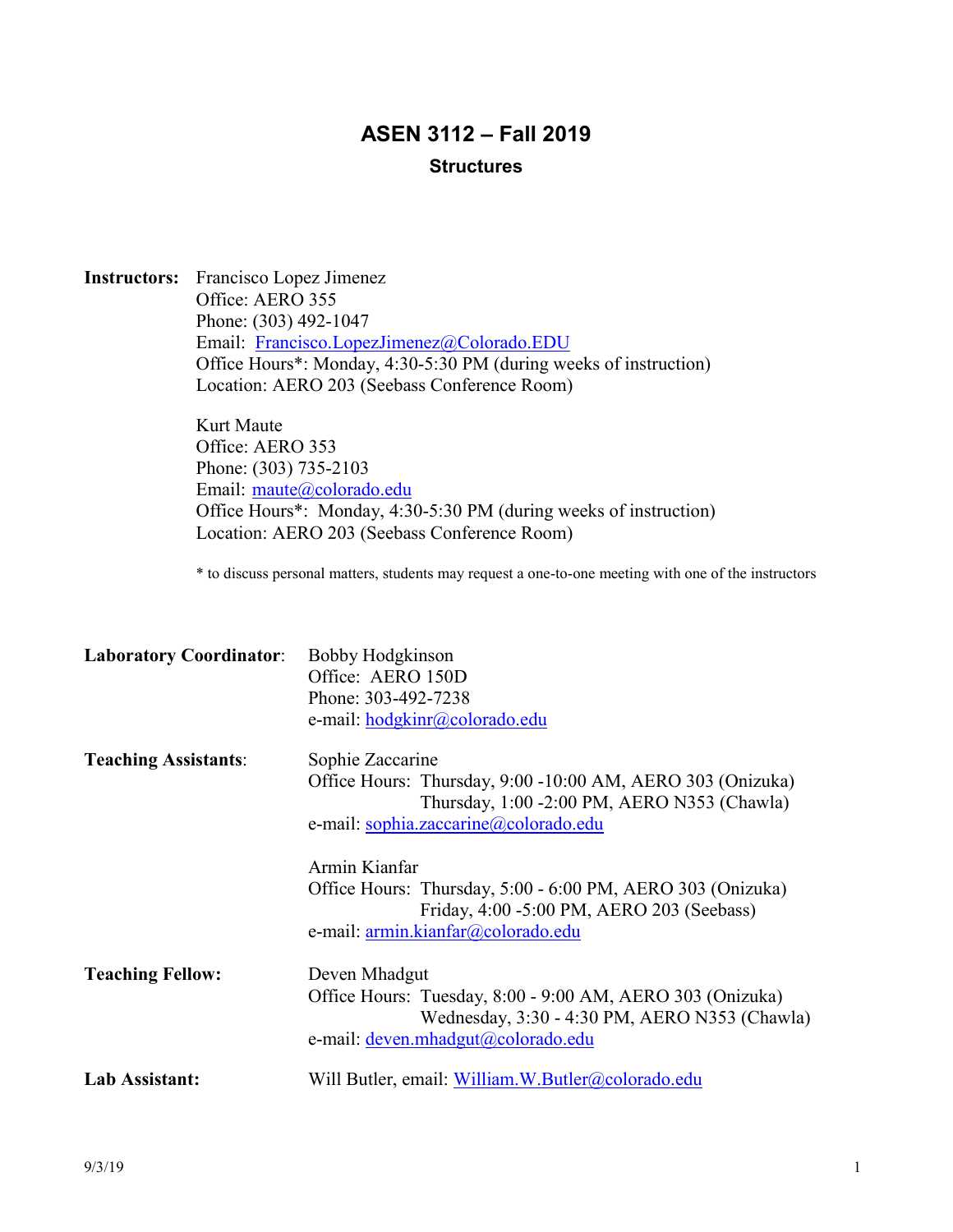# **ASEN 3112 – Fall 2019 Structures**

**Instructors:** Francisco Lopez Jimenez Office: AERO 355 Phone: (303) 492-1047 Email: Francisco.LopezJimenez@Colorado.EDU Office Hours\*: Monday, 4:30-5:30 PM (during weeks of instruction) Location: AERO 203 (Seebass Conference Room)

> Kurt Maute Office: AERO 353 Phone: (303) 735-2103 Email: maute@colorado.edu Office Hours\*: Monday, 4:30-5:30 PM (during weeks of instruction) Location: AERO 203 (Seebass Conference Room)

\* to discuss personal matters, students may request a one-to-one meeting with one of the instructors

| <b>Laboratory Coordinator:</b><br>Bobby Hodgkinson                                                      |  |
|---------------------------------------------------------------------------------------------------------|--|
| Office: AERO 150D                                                                                       |  |
| Phone: 303-492-7238                                                                                     |  |
| e-mail: hodgkinr@colorado.edu                                                                           |  |
| Sophie Zaccarine                                                                                        |  |
| Office Hours: Thursday, 9:00 -10:00 AM, AERO 303 (Onizuka)                                              |  |
| Thursday, 1:00 -2:00 PM, AERO N353 (Chawla)                                                             |  |
| e-mail: sophia.zaccarine@colorado.edu                                                                   |  |
| Armin Kianfar                                                                                           |  |
| Office Hours: Thursday, 5:00 - 6:00 PM, AERO 303 (Onizuka)<br>Friday, 4:00 -5:00 PM, AERO 203 (Seebass) |  |
| e-mail: armin.kianfar@colorado.edu                                                                      |  |
| Deven Mhadgut                                                                                           |  |
| Office Hours: Tuesday, 8:00 - 9:00 AM, AERO 303 (Onizuka)                                               |  |
| Wednesday, 3:30 - 4:30 PM, AERO N353 (Chawla)                                                           |  |
| e-mail: deven.mhadgut@colorado.edu                                                                      |  |
| Will Butler, email: William.W.Butler@colorado.edu                                                       |  |
|                                                                                                         |  |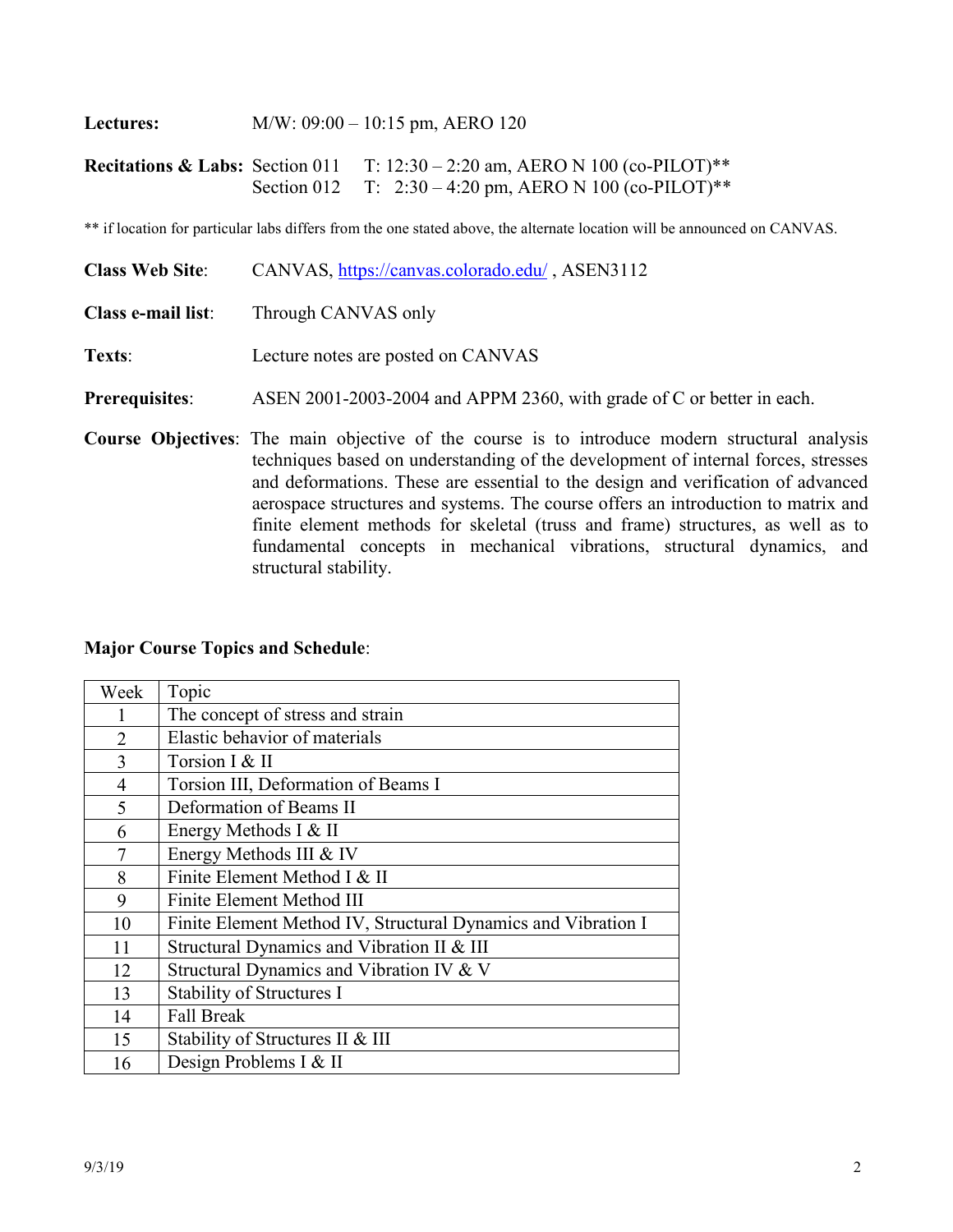**Lectures:** M/W: 09:00 – 10:15 pm, AERO 120

structural stability.

**Recitations & Labs:** Section 011 T: 12:30 – 2:20 am, AERO N 100 (co-PILOT)\*\* Section 012 T: 2:30 – 4:20 pm, AERO N 100 (co-PILOT)\*\*

\*\* if location for particular labs differs from the one stated above, the alternate location will be announced on CANVAS.

| <b>Class Web Site:</b>    | CANVAS, https://canvas.colorado.edu/, ASEN3112                                                                                                                                                                                                                                                                                                                      |  |  |
|---------------------------|---------------------------------------------------------------------------------------------------------------------------------------------------------------------------------------------------------------------------------------------------------------------------------------------------------------------------------------------------------------------|--|--|
| <b>Class e-mail list:</b> | Through CANVAS only                                                                                                                                                                                                                                                                                                                                                 |  |  |
| Texts:                    | Lecture notes are posted on CANVAS                                                                                                                                                                                                                                                                                                                                  |  |  |
| <b>Prerequisites:</b>     | ASEN 2001-2003-2004 and APPM 2360, with grade of C or better in each.                                                                                                                                                                                                                                                                                               |  |  |
|                           | <b>Course Objectives:</b> The main objective of the course is to introduce modern structural analysis<br>techniques based on understanding of the development of internal forces, stresses<br>and deformations. These are essential to the design and verification of advanced<br>aerospace structures and systems. The course offers an introduction to matrix and |  |  |

finite element methods for skeletal (truss and frame) structures, as well as to fundamental concepts in mechanical vibrations, structural dynamics, and

#### **Major Course Topics and Schedule**:

| Week           | Topic                                                         |
|----------------|---------------------------------------------------------------|
|                | The concept of stress and strain                              |
| $\overline{2}$ | Elastic behavior of materials                                 |
| 3              | Torsion I & II                                                |
| $\overline{4}$ | Torsion III, Deformation of Beams I                           |
| 5              | Deformation of Beams II                                       |
| 6              | Energy Methods I & II                                         |
| 7              | Energy Methods III & IV                                       |
| 8              | Finite Element Method I & II                                  |
| 9              | Finite Element Method III                                     |
| 10             | Finite Element Method IV, Structural Dynamics and Vibration I |
| 11             | Structural Dynamics and Vibration II & III                    |
| 12             | Structural Dynamics and Vibration IV & V                      |
| 13             | Stability of Structures I                                     |
| 14             | <b>Fall Break</b>                                             |
| 15             | Stability of Structures II & III                              |
| 16             | Design Problems I & II                                        |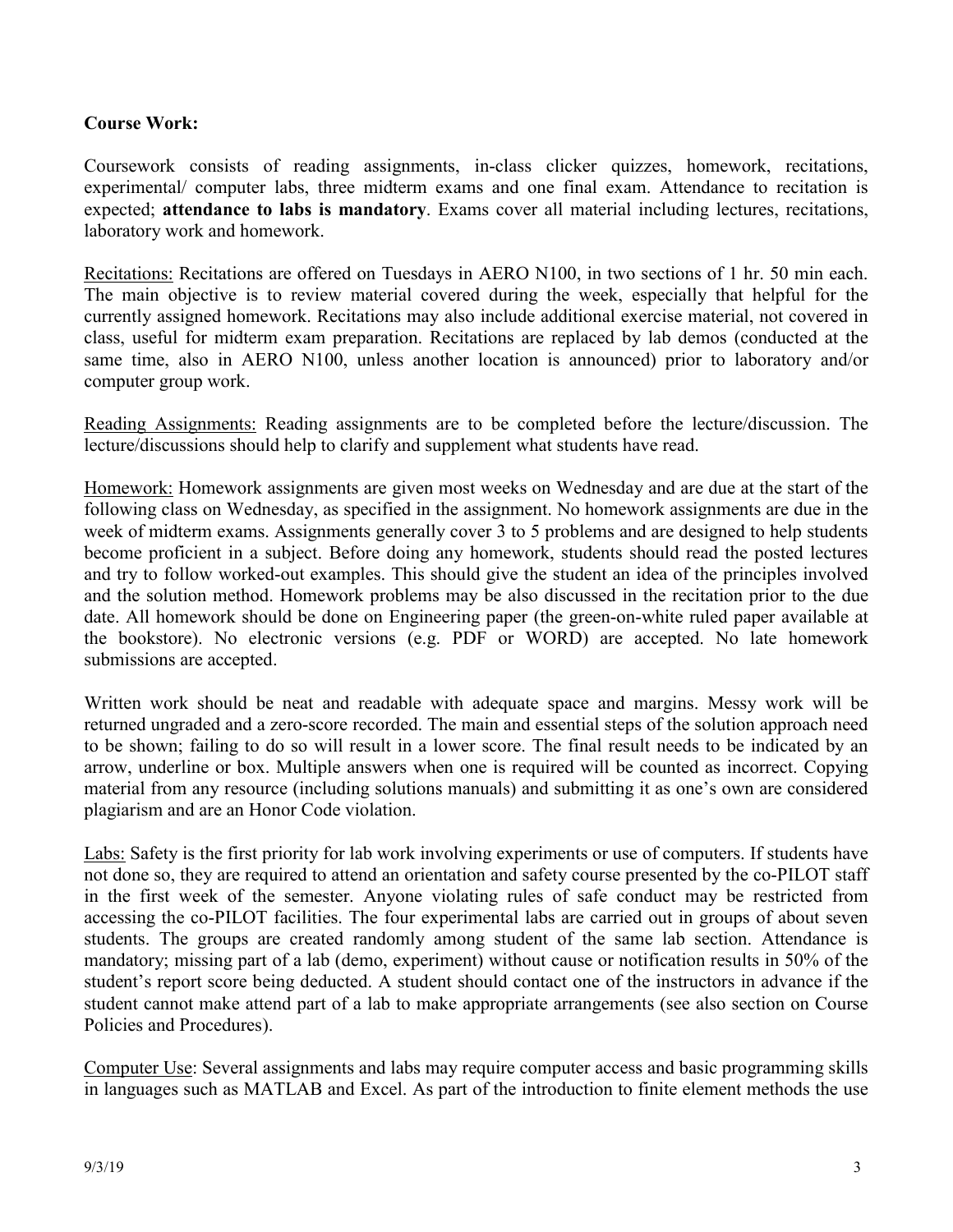## **Course Work:**

Coursework consists of reading assignments, in-class clicker quizzes, homework, recitations, experimental/ computer labs, three midterm exams and one final exam. Attendance to recitation is expected; **attendance to labs is mandatory**. Exams cover all material including lectures, recitations, laboratory work and homework.

Recitations: Recitations are offered on Tuesdays in AERO N100, in two sections of 1 hr. 50 min each. The main objective is to review material covered during the week, especially that helpful for the currently assigned homework. Recitations may also include additional exercise material, not covered in class, useful for midterm exam preparation. Recitations are replaced by lab demos (conducted at the same time, also in AERO N100, unless another location is announced) prior to laboratory and/or computer group work.

Reading Assignments: Reading assignments are to be completed before the lecture/discussion. The lecture/discussions should help to clarify and supplement what students have read.

Homework: Homework assignments are given most weeks on Wednesday and are due at the start of the following class on Wednesday, as specified in the assignment. No homework assignments are due in the week of midterm exams. Assignments generally cover 3 to 5 problems and are designed to help students become proficient in a subject. Before doing any homework, students should read the posted lectures and try to follow worked-out examples. This should give the student an idea of the principles involved and the solution method. Homework problems may be also discussed in the recitation prior to the due date. All homework should be done on Engineering paper (the green-on-white ruled paper available at the bookstore). No electronic versions (e.g. PDF or WORD) are accepted. No late homework submissions are accepted.

Written work should be neat and readable with adequate space and margins. Messy work will be returned ungraded and a zero-score recorded. The main and essential steps of the solution approach need to be shown; failing to do so will result in a lower score. The final result needs to be indicated by an arrow, underline or box. Multiple answers when one is required will be counted as incorrect. Copying material from any resource (including solutions manuals) and submitting it as one's own are considered plagiarism and are an Honor Code violation.

Labs: Safety is the first priority for lab work involving experiments or use of computers. If students have not done so, they are required to attend an orientation and safety course presented by the co-PILOT staff in the first week of the semester. Anyone violating rules of safe conduct may be restricted from accessing the co-PILOT facilities. The four experimental labs are carried out in groups of about seven students. The groups are created randomly among student of the same lab section. Attendance is mandatory; missing part of a lab (demo, experiment) without cause or notification results in 50% of the student's report score being deducted. A student should contact one of the instructors in advance if the student cannot make attend part of a lab to make appropriate arrangements (see also section on Course Policies and Procedures).

Computer Use: Several assignments and labs may require computer access and basic programming skills in languages such as MATLAB and Excel. As part of the introduction to finite element methods the use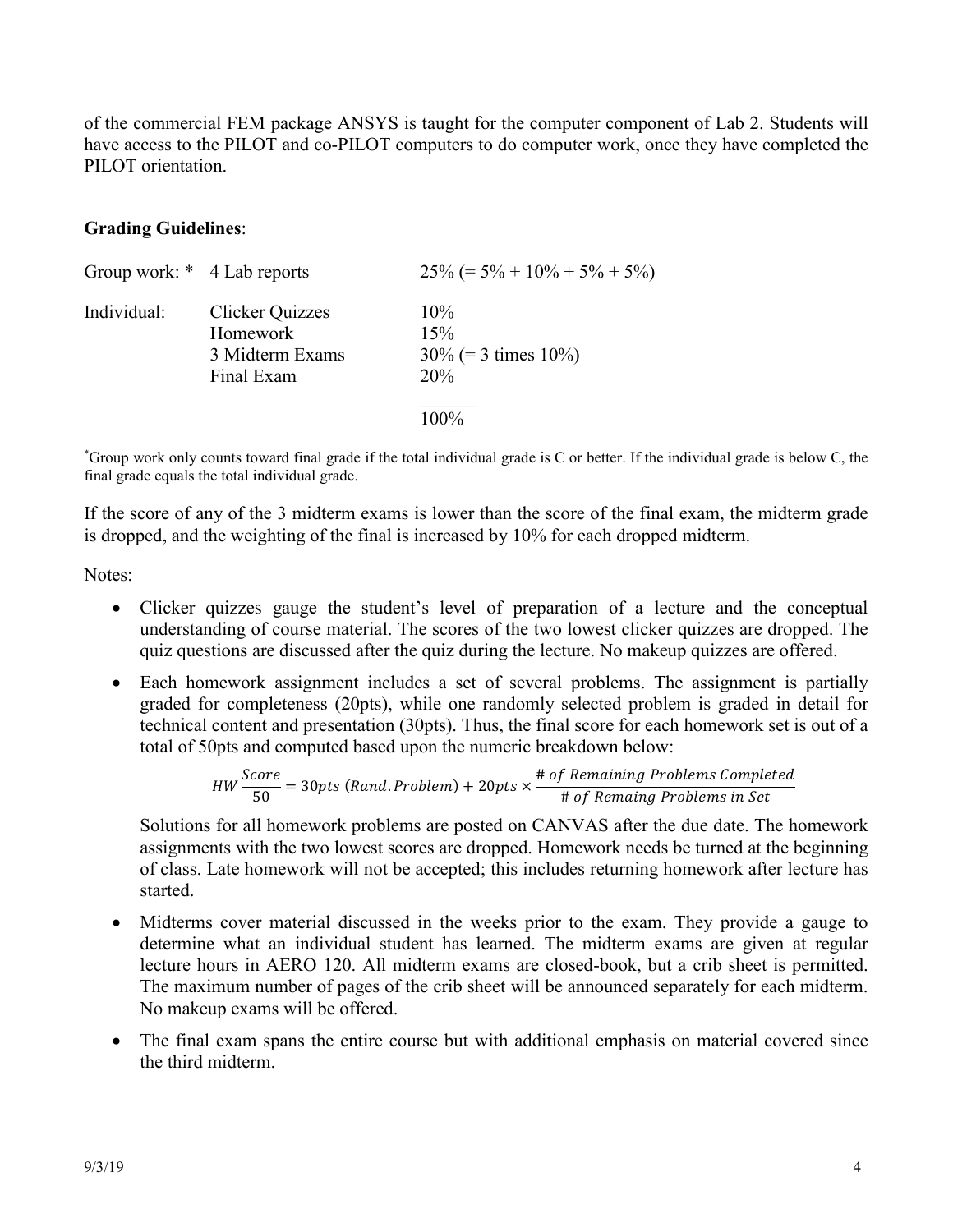of the commercial FEM package ANSYS is taught for the computer component of Lab 2. Students will have access to the PILOT and co-PILOT computers to do computer work, once they have completed the PILOT orientation.

#### **Grading Guidelines**:

| Group work: * 4 Lab reports |                                                              | $25\% (= 5\% + 10\% + 5\% + 5\%)$           |
|-----------------------------|--------------------------------------------------------------|---------------------------------------------|
| Individual:                 | Clicker Quizzes<br>Homework<br>3 Midterm Exams<br>Final Exam | 10%<br>15%<br>$30\%$ (= 3 times 10%)<br>20% |
|                             |                                                              | $100\%$                                     |

\* Group work only counts toward final grade if the total individual grade is C or better. If the individual grade is below C, the final grade equals the total individual grade.

If the score of any of the 3 midterm exams is lower than the score of the final exam, the midterm grade is dropped, and the weighting of the final is increased by 10% for each dropped midterm.

Notes:

- Clicker quizzes gauge the student's level of preparation of a lecture and the conceptual understanding of course material. The scores of the two lowest clicker quizzes are dropped. The quiz questions are discussed after the quiz during the lecture. No makeup quizzes are offered.
- Each homework assignment includes a set of several problems. The assignment is partially graded for completeness (20pts), while one randomly selected problem is graded in detail for technical content and presentation (30pts). Thus, the final score for each homework set is out of a total of 50pts and computed based upon the numeric breakdown below:

*HW* 
$$
\frac{Score}{50}
$$
 = 30*pts* (Rand.*Problem*) + 20*pts* ×  $\frac{\text{# of Remaining Problems Complete}}{\text{# of Remaing Problems in Set}}$ 

Solutions for all homework problems are posted on CANVAS after the due date. The homework assignments with the two lowest scores are dropped. Homework needs be turned at the beginning of class. Late homework will not be accepted; this includes returning homework after lecture has started.

- Midterms cover material discussed in the weeks prior to the exam. They provide a gauge to determine what an individual student has learned. The midterm exams are given at regular lecture hours in AERO 120. All midterm exams are closed-book, but a crib sheet is permitted. The maximum number of pages of the crib sheet will be announced separately for each midterm. No makeup exams will be offered.
- The final exam spans the entire course but with additional emphasis on material covered since the third midterm.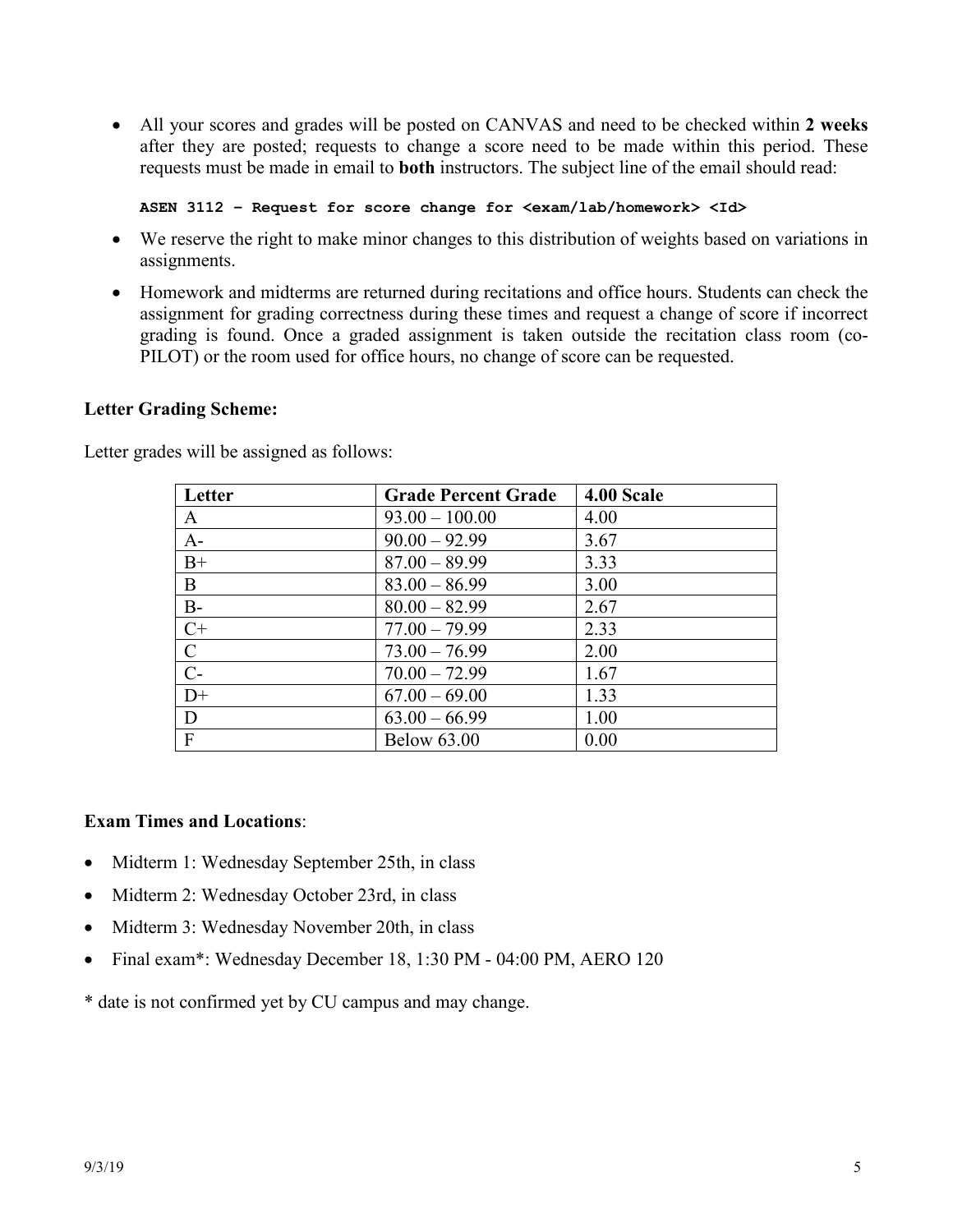All your scores and grades will be posted on CANVAS and need to be checked within **2 weeks** after they are posted; requests to change a score need to be made within this period. These requests must be made in email to **both** instructors. The subject line of the email should read:

**ASEN 3112 – Request for score change for <exam/lab/homework> <Id>** 

- We reserve the right to make minor changes to this distribution of weights based on variations in assignments.
- Homework and midterms are returned during recitations and office hours. Students can check the assignment for grading correctness during these times and request a change of score if incorrect grading is found. Once a graded assignment is taken outside the recitation class room (co-PILOT) or the room used for office hours, no change of score can be requested.

#### **Letter Grading Scheme:**

| Letter        | <b>Grade Percent Grade</b> | 4.00 Scale |
|---------------|----------------------------|------------|
| A             | $93.00 - 100.00$           | 4.00       |
| $A-$          | $90.00 - 92.99$            | 3.67       |
| $B+$          | $87.00 - 89.99$            | 3.33       |
| B             | $83.00 - 86.99$            | 3.00       |
| $B -$         | $80.00 - 82.99$            | 2.67       |
| $C+$          | $77.00 - 79.99$            | 2.33       |
| $\mathcal{C}$ | $73.00 - 76.99$            | 2.00       |
| $C-$          | $70.00 - 72.99$            | 1.67       |
| $D+$          | $67.00 - 69.00$            | 1.33       |
| D             | $63.00 - 66.99$            | 1.00       |
| $\mathbf{F}$  | <b>Below 63.00</b>         | 0.00       |

Letter grades will be assigned as follows:

## **Exam Times and Locations**:

- Midterm 1: Wednesday September 25th, in class
- Midterm 2: Wednesday October 23rd, in class
- Midterm 3: Wednesday November 20th, in class
- Final exam\*: Wednesday December 18, 1:30 PM 04:00 PM, AERO 120

\* date is not confirmed yet by CU campus and may change.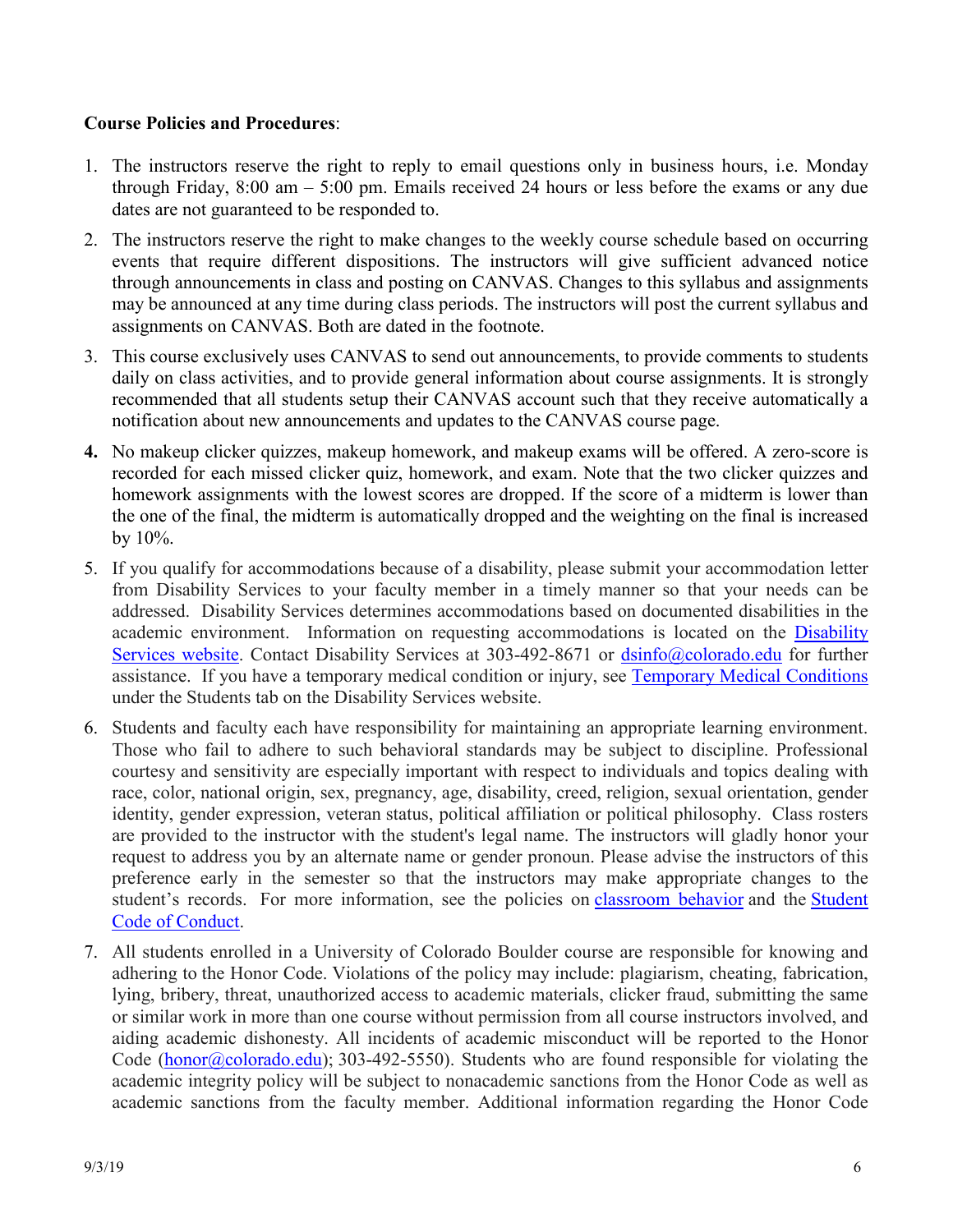## **Course Policies and Procedures**:

- 1. The instructors reserve the right to reply to email questions only in business hours, i.e. Monday through Friday, 8:00 am – 5:00 pm. Emails received 24 hours or less before the exams or any due dates are not guaranteed to be responded to.
- 2. The instructors reserve the right to make changes to the weekly course schedule based on occurring events that require different dispositions. The instructors will give sufficient advanced notice through announcements in class and posting on CANVAS. Changes to this syllabus and assignments may be announced at any time during class periods. The instructors will post the current syllabus and assignments on CANVAS. Both are dated in the footnote.
- 3. This course exclusively uses CANVAS to send out announcements, to provide comments to students daily on class activities, and to provide general information about course assignments. It is strongly recommended that all students setup their CANVAS account such that they receive automatically a notification about new announcements and updates to the CANVAS course page.
- **4.** No makeup clicker quizzes, makeup homework, and makeup exams will be offered. A zero-score is recorded for each missed clicker quiz, homework, and exam. Note that the two clicker quizzes and homework assignments with the lowest scores are dropped. If the score of a midterm is lower than the one of the final, the midterm is automatically dropped and the weighting on the final is increased by 10%.
- 5. If you qualify for accommodations because of a disability, please submit your accommodation letter from Disability Services to your faculty member in a timely manner so that your needs can be addressed. Disability Services determines accommodations based on documented disabilities in the academic environment. Information on requesting accommodations is located on the Disability Services website. Contact Disability Services at 303-492-8671 or dsinfo@colorado.edu for further assistance. If you have a temporary medical condition or injury, see Temporary Medical Conditions under the Students tab on the Disability Services website.
- 6. Students and faculty each have responsibility for maintaining an appropriate learning environment. Those who fail to adhere to such behavioral standards may be subject to discipline. Professional courtesy and sensitivity are especially important with respect to individuals and topics dealing with race, color, national origin, sex, pregnancy, age, disability, creed, religion, sexual orientation, gender identity, gender expression, veteran status, political affiliation or political philosophy. Class rosters are provided to the instructor with the student's legal name. The instructors will gladly honor your request to address you by an alternate name or gender pronoun. Please advise the instructors of this preference early in the semester so that the instructors may make appropriate changes to the student's records. For more information, see the policies on classroom behavior and the Student Code of Conduct.
- 7. All students enrolled in a University of Colorado Boulder course are responsible for knowing and adhering to the Honor Code. Violations of the policy may include: plagiarism, cheating, fabrication, lying, bribery, threat, unauthorized access to academic materials, clicker fraud, submitting the same or similar work in more than one course without permission from all course instructors involved, and aiding academic dishonesty. All incidents of academic misconduct will be reported to the Honor Code (honor@colorado.edu); 303-492-5550). Students who are found responsible for violating the academic integrity policy will be subject to nonacademic sanctions from the Honor Code as well as academic sanctions from the faculty member. Additional information regarding the Honor Code